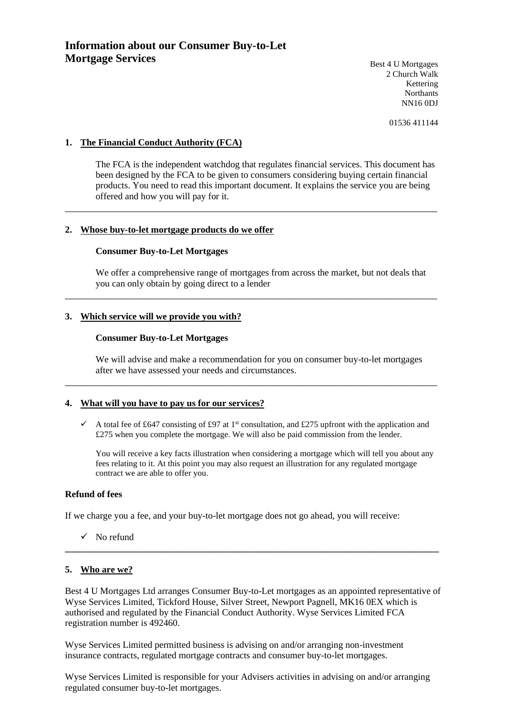Best 4 U Mortgages 2 Church Walk Kettering **Northants** NN16 0DJ

01536 411144

# **1. The Financial Conduct Authority (FCA)**

The FCA is the independent watchdog that regulates financial services. This document has been designed by the FCA to be given to consumers considering buying certain financial products. You need to read this important document. It explains the service you are being offered and how you will pay for it.

\_\_\_\_\_\_\_\_\_\_\_\_\_\_\_\_\_\_\_\_\_\_\_\_\_\_\_\_\_\_\_\_\_\_\_\_\_\_\_\_\_\_\_\_\_\_\_\_\_\_\_\_\_\_\_\_\_\_\_\_\_\_\_\_\_\_\_\_\_\_\_\_\_

# **2. Whose buy-to-let mortgage products do we offer**

### **Consumer Buy-to-Let Mortgages**

We offer a comprehensive range of mortgages from across the market, but not deals that you can only obtain by going direct to a lender

\_\_\_\_\_\_\_\_\_\_\_\_\_\_\_\_\_\_\_\_\_\_\_\_\_\_\_\_\_\_\_\_\_\_\_\_\_\_\_\_\_\_\_\_\_\_\_\_\_\_\_\_\_\_\_\_\_\_\_\_\_\_\_\_\_\_\_\_\_\_\_\_\_

### **3. Which service will we provide you with?**

### **Consumer Buy-to-Let Mortgages**

We will advise and make a recommendation for you on consumer buy-to-let mortgages after we have assessed your needs and circumstances.

\_\_\_\_\_\_\_\_\_\_\_\_\_\_\_\_\_\_\_\_\_\_\_\_\_\_\_\_\_\_\_\_\_\_\_\_\_\_\_\_\_\_\_\_\_\_\_\_\_\_\_\_\_\_\_\_\_\_\_\_\_\_\_\_\_\_\_\_\_\_\_\_\_

# **4. What will you have to pay us for our services?**

 $\checkmark$  A total fee of £647 consisting of £97 at 1st consultation, and £275 upfront with the application and £275 when you complete the mortgage. We will also be paid commission from the lender.

You will receive a key facts illustration when considering a mortgage which will tell you about any fees relating to it. At this point you may also request an illustration for any regulated mortgage contract we are able to offer you.

### **Refund of fees**

If we charge you a fee, and your buy-to-let mortgage does not go ahead, you will receive:

 $\checkmark$  No refund

# **5. Who are we?**

Best 4 U Mortgages Ltd arranges Consumer Buy-to-Let mortgages as an appointed representative of Wyse Services Limited, Tickford House, Silver Street, Newport Pagnell, MK16 0EX which is authorised and regulated by the Financial Conduct Authority. Wyse Services Limited FCA registration number is 492460.

**\_\_\_\_\_\_\_\_\_\_\_\_\_\_\_\_\_\_\_\_\_\_\_\_\_\_\_\_\_\_\_\_\_\_\_\_\_\_\_\_\_\_\_\_\_\_\_\_\_\_\_\_\_\_\_\_\_\_\_\_\_\_\_\_\_\_\_\_\_\_\_\_\_\_\_\_\_\_\_\_**

Wyse Services Limited permitted business is advising on and/or arranging non-investment insurance contracts, regulated mortgage contracts and consumer buy-to-let mortgages.

Wyse Services Limited is responsible for your Advisers activities in advising on and/or arranging regulated consumer buy-to-let mortgages.